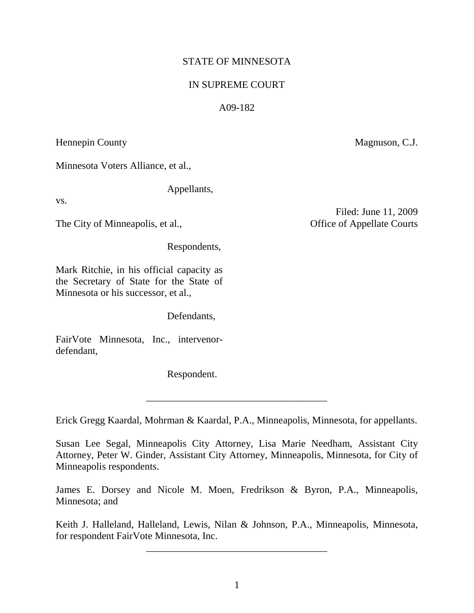# STATE OF MINNESOTA

# IN SUPREME COURT

# A09-182

Hennepin County

Minnesota Voters Alliance, et al.,

Appellants,

vs.

The City of Minneapolis, et al.,

Respondents,

Mark Ritchie, in his official capacity as the Secretary of State for the State of Minnesota or his successor, et al.,

Defendants,

FairVote Minnesota, Inc., intervenordefendant,

Respondent.

Erick Gregg Kaardal, Mohrman & Kaardal, P.A., Minneapolis, Minnesota, for appellants.

\_\_\_\_\_\_\_\_\_\_\_\_\_\_\_\_\_\_\_\_\_\_\_\_\_\_\_\_\_\_\_\_\_\_\_\_

Susan Lee Segal, Minneapolis City Attorney, Lisa Marie Needham, Assistant City Attorney, Peter W. Ginder, Assistant City Attorney, Minneapolis, Minnesota, for City of Minneapolis respondents.

James E. Dorsey and Nicole M. Moen, Fredrikson & Byron, P.A., Minneapolis, Minnesota; and

Keith J. Halleland, Halleland, Lewis, Nilan & Johnson, P.A., Minneapolis, Minnesota, for respondent FairVote Minnesota, Inc.

\_\_\_\_\_\_\_\_\_\_\_\_\_\_\_\_\_\_\_\_\_\_\_\_\_\_\_\_\_\_\_\_\_\_\_\_

Filed: June 11, 2009 Office of Appellate Courts

Magnuson, C.J.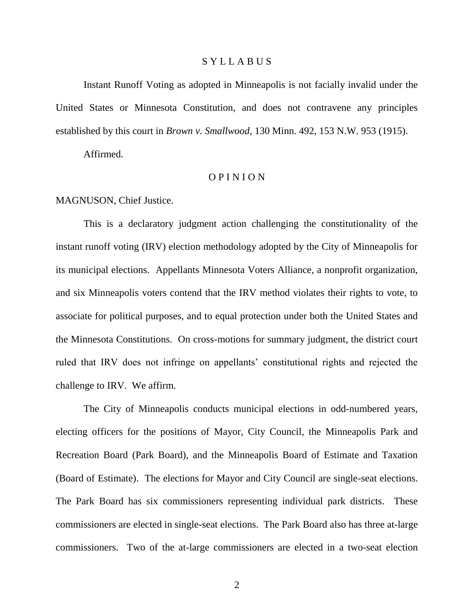### S Y L L A B U S

Instant Runoff Voting as adopted in Minneapolis is not facially invalid under the United States or Minnesota Constitution, and does not contravene any principles established by this court in *Brown v. Smallwood*, 130 Minn. 492, 153 N.W. 953 (1915).

Affirmed.

### O P I N I O N

MAGNUSON, Chief Justice.

This is a declaratory judgment action challenging the constitutionality of the instant runoff voting (IRV) election methodology adopted by the City of Minneapolis for its municipal elections. Appellants Minnesota Voters Alliance, a nonprofit organization, and six Minneapolis voters contend that the IRV method violates their rights to vote, to associate for political purposes, and to equal protection under both the United States and the Minnesota Constitutions. On cross-motions for summary judgment, the district court ruled that IRV does not infringe on appellants" constitutional rights and rejected the challenge to IRV. We affirm.

The City of Minneapolis conducts municipal elections in odd-numbered years, electing officers for the positions of Mayor, City Council, the Minneapolis Park and Recreation Board (Park Board), and the Minneapolis Board of Estimate and Taxation (Board of Estimate). The elections for Mayor and City Council are single-seat elections. The Park Board has six commissioners representing individual park districts. These commissioners are elected in single-seat elections. The Park Board also has three at-large commissioners. Two of the at-large commissioners are elected in a two-seat election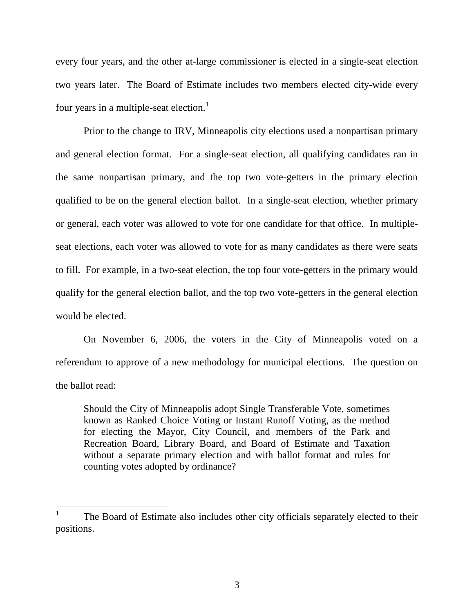every four years, and the other at-large commissioner is elected in a single-seat election two years later. The Board of Estimate includes two members elected city-wide every four years in a multiple-seat election.<sup>1</sup>

Prior to the change to IRV, Minneapolis city elections used a nonpartisan primary and general election format. For a single-seat election, all qualifying candidates ran in the same nonpartisan primary, and the top two vote-getters in the primary election qualified to be on the general election ballot. In a single-seat election, whether primary or general, each voter was allowed to vote for one candidate for that office. In multipleseat elections, each voter was allowed to vote for as many candidates as there were seats to fill. For example, in a two-seat election, the top four vote-getters in the primary would qualify for the general election ballot, and the top two vote-getters in the general election would be elected.

On November 6, 2006, the voters in the City of Minneapolis voted on a referendum to approve of a new methodology for municipal elections. The question on the ballot read:

Should the City of Minneapolis adopt Single Transferable Vote, sometimes known as Ranked Choice Voting or Instant Runoff Voting, as the method for electing the Mayor, City Council, and members of the Park and Recreation Board, Library Board, and Board of Estimate and Taxation without a separate primary election and with ballot format and rules for counting votes adopted by ordinance?

<sup>1</sup> The Board of Estimate also includes other city officials separately elected to their positions.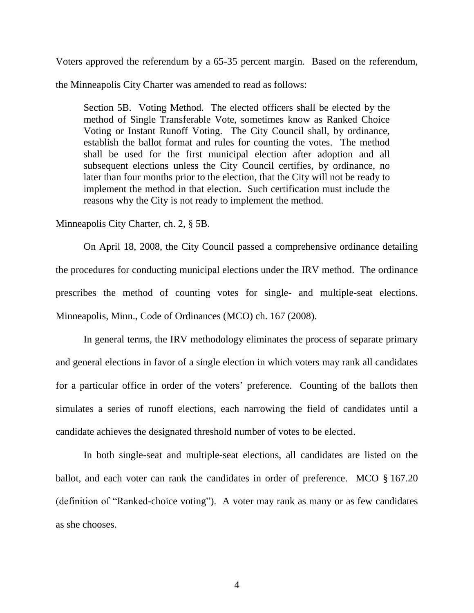Voters approved the referendum by a 65-35 percent margin. Based on the referendum,

the Minneapolis City Charter was amended to read as follows:

Section 5B. Voting Method. The elected officers shall be elected by the method of Single Transferable Vote, sometimes know as Ranked Choice Voting or Instant Runoff Voting. The City Council shall, by ordinance, establish the ballot format and rules for counting the votes. The method shall be used for the first municipal election after adoption and all subsequent elections unless the City Council certifies, by ordinance, no later than four months prior to the election, that the City will not be ready to implement the method in that election. Such certification must include the reasons why the City is not ready to implement the method.

Minneapolis City Charter, ch. 2, § 5B.

On April 18, 2008, the City Council passed a comprehensive ordinance detailing the procedures for conducting municipal elections under the IRV method. The ordinance prescribes the method of counting votes for single- and multiple-seat elections. Minneapolis, Minn., Code of Ordinances (MCO) ch. 167 (2008).

In general terms, the IRV methodology eliminates the process of separate primary and general elections in favor of a single election in which voters may rank all candidates for a particular office in order of the voters' preference. Counting of the ballots then simulates a series of runoff elections, each narrowing the field of candidates until a candidate achieves the designated threshold number of votes to be elected.

In both single-seat and multiple-seat elections, all candidates are listed on the ballot, and each voter can rank the candidates in order of preference. MCO § 167.20 (definition of "Ranked-choice voting"). A voter may rank as many or as few candidates as she chooses.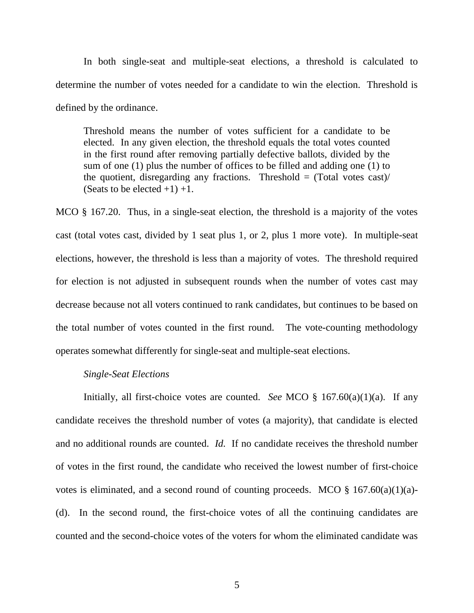In both single-seat and multiple-seat elections, a threshold is calculated to determine the number of votes needed for a candidate to win the election. Threshold is defined by the ordinance.

Threshold means the number of votes sufficient for a candidate to be elected. In any given election, the threshold equals the total votes counted in the first round after removing partially defective ballots, divided by the sum of one (1) plus the number of offices to be filled and adding one (1) to the quotient, disregarding any fractions. Threshold  $=$  (Total votes cast)/ (Seats to be elected  $+1$ )  $+1$ .

MCO § 167.20. Thus, in a single-seat election, the threshold is a majority of the votes cast (total votes cast, divided by 1 seat plus 1, or 2, plus 1 more vote). In multiple-seat elections, however, the threshold is less than a majority of votes. The threshold required for election is not adjusted in subsequent rounds when the number of votes cast may decrease because not all voters continued to rank candidates, but continues to be based on the total number of votes counted in the first round. The vote-counting methodology operates somewhat differently for single-seat and multiple-seat elections.

### *Single-Seat Elections*

 Initially, all first-choice votes are counted. *See* MCO § 167.60(a)(1)(a). If any candidate receives the threshold number of votes (a majority), that candidate is elected and no additional rounds are counted. *Id.* If no candidate receives the threshold number of votes in the first round, the candidate who received the lowest number of first-choice votes is eliminated, and a second round of counting proceeds. MCO  $\S$  167.60(a)(1)(a)-(d). In the second round, the first-choice votes of all the continuing candidates are counted and the second-choice votes of the voters for whom the eliminated candidate was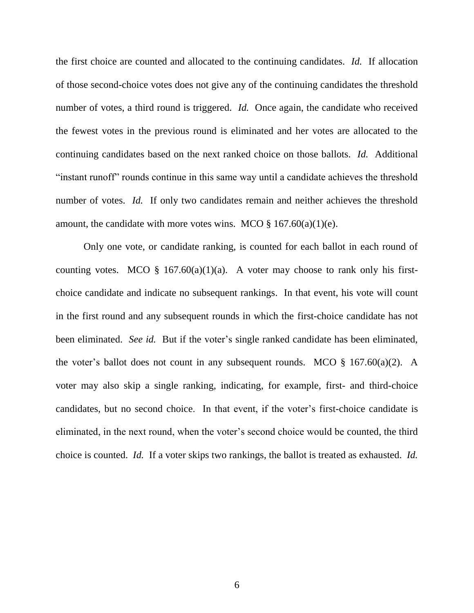the first choice are counted and allocated to the continuing candidates. *Id.* If allocation of those second-choice votes does not give any of the continuing candidates the threshold number of votes, a third round is triggered. *Id.* Once again, the candidate who received the fewest votes in the previous round is eliminated and her votes are allocated to the continuing candidates based on the next ranked choice on those ballots. *Id.* Additional "instant runoff" rounds continue in this same way until a candidate achieves the threshold number of votes. *Id.* If only two candidates remain and neither achieves the threshold amount, the candidate with more votes wins. MCO  $\S 167.60(a)(1)(e)$ .

Only one vote, or candidate ranking, is counted for each ballot in each round of counting votes. MCO  $\S$  167.60(a)(1)(a). A voter may choose to rank only his firstchoice candidate and indicate no subsequent rankings. In that event, his vote will count in the first round and any subsequent rounds in which the first-choice candidate has not been eliminated. *See id.* But if the voter's single ranked candidate has been eliminated, the voter's ballot does not count in any subsequent rounds. MCO  $\S$  167.60(a)(2). A voter may also skip a single ranking, indicating, for example, first- and third-choice candidates, but no second choice. In that event, if the voter"s first-choice candidate is eliminated, in the next round, when the voter"s second choice would be counted, the third choice is counted. *Id.* If a voter skips two rankings, the ballot is treated as exhausted. *Id.*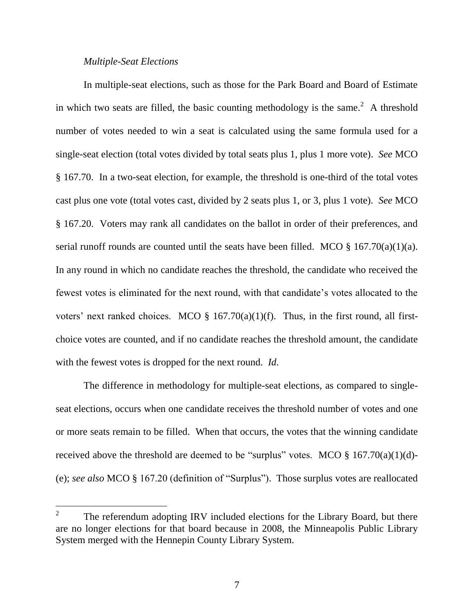#### *Multiple-Seat Elections*

In multiple-seat elections, such as those for the Park Board and Board of Estimate in which two seats are filled, the basic counting methodology is the same.<sup>2</sup> A threshold number of votes needed to win a seat is calculated using the same formula used for a single-seat election (total votes divided by total seats plus 1, plus 1 more vote). *See* MCO § 167.70. In a two-seat election, for example, the threshold is one-third of the total votes cast plus one vote (total votes cast, divided by 2 seats plus 1, or 3, plus 1 vote). *See* MCO § 167.20. Voters may rank all candidates on the ballot in order of their preferences, and serial runoff rounds are counted until the seats have been filled. MCO § 167.70(a)(1)(a). In any round in which no candidate reaches the threshold, the candidate who received the fewest votes is eliminated for the next round, with that candidate"s votes allocated to the voters' next ranked choices. MCO  $\S$  167.70(a)(1)(f). Thus, in the first round, all firstchoice votes are counted, and if no candidate reaches the threshold amount, the candidate with the fewest votes is dropped for the next round. *Id.*

The difference in methodology for multiple-seat elections, as compared to singleseat elections, occurs when one candidate receives the threshold number of votes and one or more seats remain to be filled. When that occurs, the votes that the winning candidate received above the threshold are deemed to be "surplus" votes. MCO  $\S$  167.70(a)(1)(d)-(e); *see also* MCO § 167.20 (definition of "Surplus"). Those surplus votes are reallocated

<sup>2</sup> The referendum adopting IRV included elections for the Library Board, but there are no longer elections for that board because in 2008, the Minneapolis Public Library System merged with the Hennepin County Library System.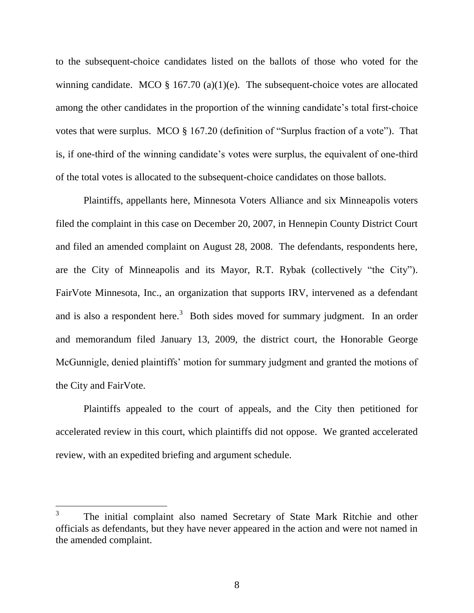to the subsequent-choice candidates listed on the ballots of those who voted for the winning candidate. MCO  $\S$  167.70 (a)(1)(e). The subsequent-choice votes are allocated among the other candidates in the proportion of the winning candidate's total first-choice votes that were surplus. MCO § 167.20 (definition of "Surplus fraction of a vote"). That is, if one-third of the winning candidate"s votes were surplus, the equivalent of one-third of the total votes is allocated to the subsequent-choice candidates on those ballots.

Plaintiffs, appellants here, Minnesota Voters Alliance and six Minneapolis voters filed the complaint in this case on December 20, 2007, in Hennepin County District Court and filed an amended complaint on August 28, 2008. The defendants, respondents here, are the City of Minneapolis and its Mayor, R.T. Rybak (collectively "the City"). FairVote Minnesota, Inc., an organization that supports IRV, intervened as a defendant and is also a respondent here.<sup>3</sup> Both sides moved for summary judgment. In an order and memorandum filed January 13, 2009, the district court, the Honorable George McGunnigle, denied plaintiffs' motion for summary judgment and granted the motions of the City and FairVote.

Plaintiffs appealed to the court of appeals, and the City then petitioned for accelerated review in this court, which plaintiffs did not oppose. We granted accelerated review, with an expedited briefing and argument schedule.

<sup>3</sup> The initial complaint also named Secretary of State Mark Ritchie and other officials as defendants, but they have never appeared in the action and were not named in the amended complaint.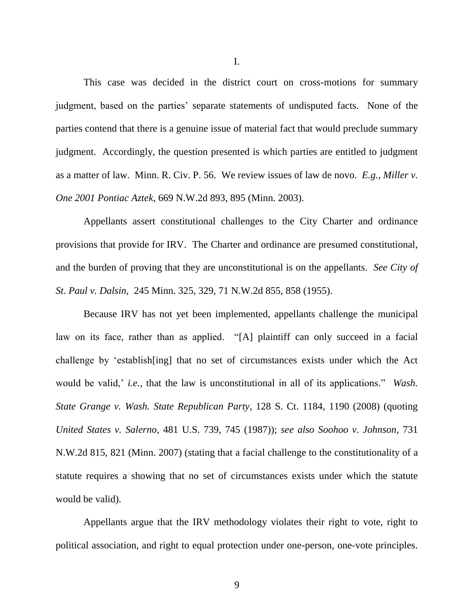This case was decided in the district court on cross-motions for summary judgment, based on the parties" separate statements of undisputed facts. None of the parties contend that there is a genuine issue of material fact that would preclude summary judgment. Accordingly, the question presented is which parties are entitled to judgment as a matter of law. Minn. R. Civ. P. 56. We review issues of law de novo. *E.g.*, *Miller v. One 2001 Pontiac Aztek*, 669 N.W.2d 893, 895 (Minn. 2003).

Appellants assert constitutional challenges to the City Charter and ordinance provisions that provide for IRV. The Charter and ordinance are presumed constitutional, and the burden of proving that they are unconstitutional is on the appellants. *See City of St. Paul v. Dalsin*, 245 Minn. 325, 329, 71 N.W.2d 855, 858 (1955).

Because IRV has not yet been implemented, appellants challenge the municipal law on its face, rather than as applied. "[A] plaintiff can only succeed in a facial challenge by "establish[ing] that no set of circumstances exists under which the Act would be valid, *i.e.*, that the law is unconstitutional in all of its applications." *Wash. State Grange v. Wash. State Republican Party*, 128 S. Ct. 1184, 1190 (2008) (quoting *United States v. Salerno*, 481 U.S. 739, 745 (1987)); *see also Soohoo v. Johnson*, 731 N.W.2d 815, 821 (Minn. 2007) (stating that a facial challenge to the constitutionality of a statute requires a showing that no set of circumstances exists under which the statute would be valid).

Appellants argue that the IRV methodology violates their right to vote, right to political association, and right to equal protection under one-person, one-vote principles.

I.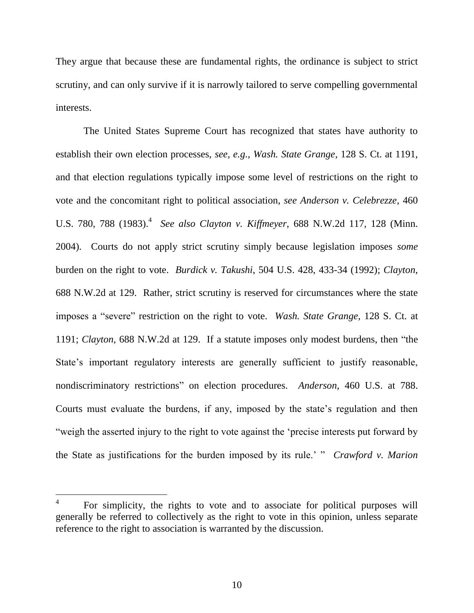They argue that because these are fundamental rights, the ordinance is subject to strict scrutiny, and can only survive if it is narrowly tailored to serve compelling governmental interests.

The United States Supreme Court has recognized that states have authority to establish their own election processes, *see, e.g.*, *Wash. State Grange*, 128 S. Ct. at 1191, and that election regulations typically impose some level of restrictions on the right to vote and the concomitant right to political association, *see Anderson v. Celebrezze*, 460 U.S. 780, 788 (1983).<sup>4</sup> See also Clayton v. Kiffmeyer, 688 N.W.2d 117, 128 (Minn. 2004). Courts do not apply strict scrutiny simply because legislation imposes *some* burden on the right to vote. *Burdick v. Takushi*, 504 U.S. 428, 433-34 (1992); *Clayton*, 688 N.W.2d at 129. Rather, strict scrutiny is reserved for circumstances where the state imposes a "severe" restriction on the right to vote. *Wash. State Grange*, 128 S. Ct. at 1191; *Clayton*, 688 N.W.2d at 129. If a statute imposes only modest burdens, then "the State's important regulatory interests are generally sufficient to justify reasonable, nondiscriminatory restrictions" on election procedures. *Anderson*, 460 U.S. at 788. Courts must evaluate the burdens, if any, imposed by the state's regulation and then "weigh the asserted injury to the right to vote against the "precise interests put forward by the State as justifications for the burden imposed by its rule." " *Crawford v. Marion* 

<sup>4</sup> For simplicity, the rights to vote and to associate for political purposes will generally be referred to collectively as the right to vote in this opinion, unless separate reference to the right to association is warranted by the discussion.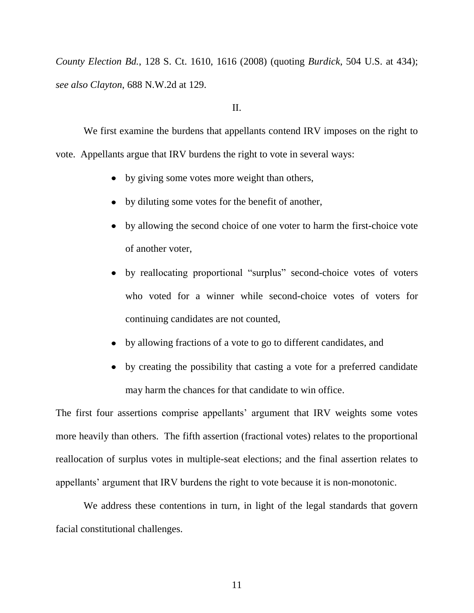*County Election Bd.*, 128 S. Ct. 1610, 1616 (2008) (quoting *Burdick*, 504 U.S. at 434); *see also Clayton*, 688 N.W.2d at 129.

## II.

We first examine the burdens that appellants contend IRV imposes on the right to vote. Appellants argue that IRV burdens the right to vote in several ways:

- by giving some votes more weight than others,
- by diluting some votes for the benefit of another,
- by allowing the second choice of one voter to harm the first-choice vote of another voter,
- by reallocating proportional "surplus" second-choice votes of voters who voted for a winner while second-choice votes of voters for continuing candidates are not counted,
- by allowing fractions of a vote to go to different candidates, and
- by creating the possibility that casting a vote for a preferred candidate may harm the chances for that candidate to win office.

The first four assertions comprise appellants' argument that IRV weights some votes more heavily than others. The fifth assertion (fractional votes) relates to the proportional reallocation of surplus votes in multiple-seat elections; and the final assertion relates to appellants' argument that IRV burdens the right to vote because it is non-monotonic.

We address these contentions in turn, in light of the legal standards that govern facial constitutional challenges.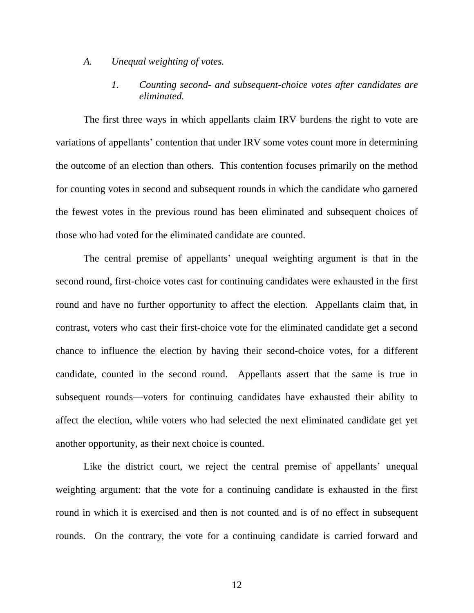#### *A. Unequal weighting of votes.*

# *1. Counting second- and subsequent-choice votes after candidates are eliminated.*

The first three ways in which appellants claim IRV burdens the right to vote are variations of appellants" contention that under IRV some votes count more in determining the outcome of an election than others. This contention focuses primarily on the method for counting votes in second and subsequent rounds in which the candidate who garnered the fewest votes in the previous round has been eliminated and subsequent choices of those who had voted for the eliminated candidate are counted.

The central premise of appellants' unequal weighting argument is that in the second round, first-choice votes cast for continuing candidates were exhausted in the first round and have no further opportunity to affect the election. Appellants claim that, in contrast, voters who cast their first-choice vote for the eliminated candidate get a second chance to influence the election by having their second-choice votes, for a different candidate, counted in the second round. Appellants assert that the same is true in subsequent rounds—voters for continuing candidates have exhausted their ability to affect the election, while voters who had selected the next eliminated candidate get yet another opportunity, as their next choice is counted.

Like the district court, we reject the central premise of appellants' unequal weighting argument: that the vote for a continuing candidate is exhausted in the first round in which it is exercised and then is not counted and is of no effect in subsequent rounds. On the contrary, the vote for a continuing candidate is carried forward and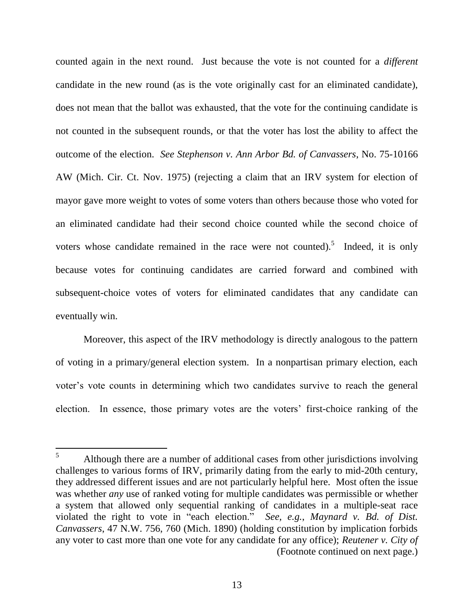counted again in the next round. Just because the vote is not counted for a *different* candidate in the new round (as is the vote originally cast for an eliminated candidate), does not mean that the ballot was exhausted, that the vote for the continuing candidate is not counted in the subsequent rounds, or that the voter has lost the ability to affect the outcome of the election. *See Stephenson v. Ann Arbor Bd. of Canvassers*, No. 75-10166 AW (Mich. Cir. Ct. Nov. 1975) (rejecting a claim that an IRV system for election of mayor gave more weight to votes of some voters than others because those who voted for an eliminated candidate had their second choice counted while the second choice of voters whose candidate remained in the race were not counted).<sup>5</sup> Indeed, it is only because votes for continuing candidates are carried forward and combined with subsequent-choice votes of voters for eliminated candidates that any candidate can eventually win.

Moreover, this aspect of the IRV methodology is directly analogous to the pattern of voting in a primary/general election system. In a nonpartisan primary election, each voter"s vote counts in determining which two candidates survive to reach the general election. In essence, those primary votes are the voters' first-choice ranking of the

 $5<sup>5</sup>$ <sup>5</sup> Although there are a number of additional cases from other jurisdictions involving challenges to various forms of IRV, primarily dating from the early to mid-20th century, they addressed different issues and are not particularly helpful here. Most often the issue was whether *any* use of ranked voting for multiple candidates was permissible or whether a system that allowed only sequential ranking of candidates in a multiple-seat race violated the right to vote in "each election." *See, e.g.*, *Maynard v. Bd. of Dist. Canvassers*, 47 N.W. 756, 760 (Mich. 1890) (holding constitution by implication forbids any voter to cast more than one vote for any candidate for any office); *Reutener v. City of*  (Footnote continued on next page.)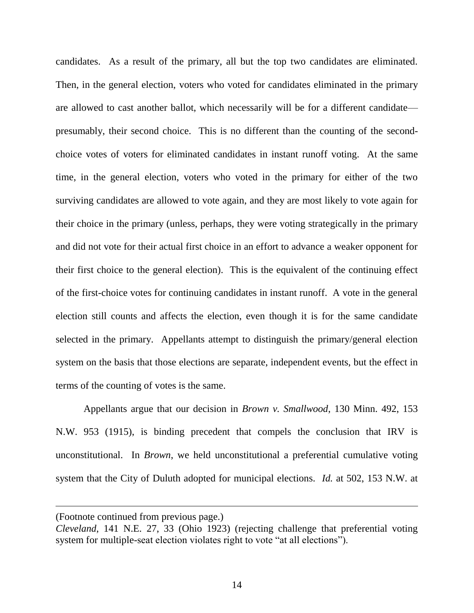candidates. As a result of the primary, all but the top two candidates are eliminated. Then, in the general election, voters who voted for candidates eliminated in the primary are allowed to cast another ballot, which necessarily will be for a different candidate presumably, their second choice. This is no different than the counting of the secondchoice votes of voters for eliminated candidates in instant runoff voting. At the same time, in the general election, voters who voted in the primary for either of the two surviving candidates are allowed to vote again, and they are most likely to vote again for their choice in the primary (unless, perhaps, they were voting strategically in the primary and did not vote for their actual first choice in an effort to advance a weaker opponent for their first choice to the general election). This is the equivalent of the continuing effect of the first-choice votes for continuing candidates in instant runoff. A vote in the general election still counts and affects the election, even though it is for the same candidate selected in the primary. Appellants attempt to distinguish the primary/general election system on the basis that those elections are separate, independent events, but the effect in terms of the counting of votes is the same.

Appellants argue that our decision in *Brown v. Smallwood*, 130 Minn. 492, 153 N.W. 953 (1915), is binding precedent that compels the conclusion that IRV is unconstitutional. In *Brown*, we held unconstitutional a preferential cumulative voting system that the City of Duluth adopted for municipal elections. *Id.* at 502, 153 N.W. at

<sup>(</sup>Footnote continued from previous page.)

*Cleveland*, 141 N.E. 27, 33 (Ohio 1923) (rejecting challenge that preferential voting system for multiple-seat election violates right to vote "at all elections").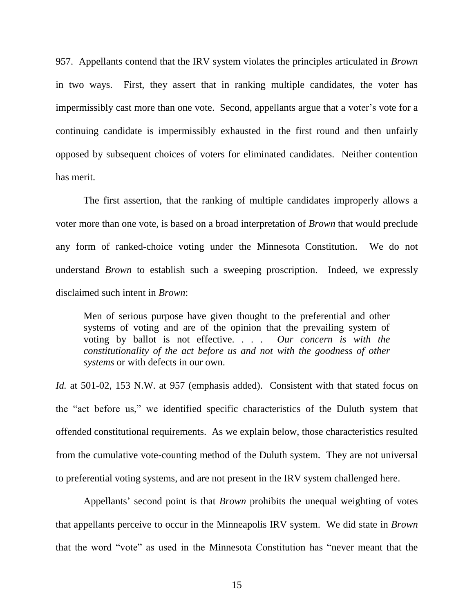957. Appellants contend that the IRV system violates the principles articulated in *Brown* in two ways. First, they assert that in ranking multiple candidates, the voter has impermissibly cast more than one vote. Second, appellants argue that a voter's vote for a continuing candidate is impermissibly exhausted in the first round and then unfairly opposed by subsequent choices of voters for eliminated candidates. Neither contention has merit.

The first assertion, that the ranking of multiple candidates improperly allows a voter more than one vote, is based on a broad interpretation of *Brown* that would preclude any form of ranked-choice voting under the Minnesota Constitution. We do not understand *Brown* to establish such a sweeping proscription. Indeed, we expressly disclaimed such intent in *Brown*:

Men of serious purpose have given thought to the preferential and other systems of voting and are of the opinion that the prevailing system of voting by ballot is not effective. . . . *Our concern is with the constitutionality of the act before us and not with the goodness of other systems* or with defects in our own.

*Id.* at 501-02, 153 N.W. at 957 (emphasis added). Consistent with that stated focus on the "act before us," we identified specific characteristics of the Duluth system that offended constitutional requirements. As we explain below, those characteristics resulted from the cumulative vote-counting method of the Duluth system. They are not universal to preferential voting systems, and are not present in the IRV system challenged here.

Appellants" second point is that *Brown* prohibits the unequal weighting of votes that appellants perceive to occur in the Minneapolis IRV system. We did state in *Brown*  that the word "vote" as used in the Minnesota Constitution has "never meant that the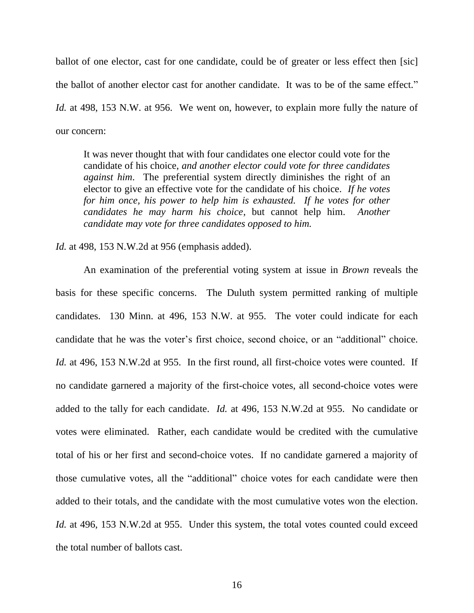ballot of one elector, cast for one candidate, could be of greater or less effect then [sic] the ballot of another elector cast for another candidate. It was to be of the same effect." *Id.* at 498, 153 N.W. at 956. We went on, however, to explain more fully the nature of our concern:

It was never thought that with four candidates one elector could vote for the candidate of his choice, *and another elector could vote for three candidates against him*. The preferential system directly diminishes the right of an elector to give an effective vote for the candidate of his choice. *If he votes for him once, his power to help him is exhausted. If he votes for other candidates he may harm his choice*, but cannot help him. *Another candidate may vote for three candidates opposed to him.*

*Id.* at 498, 153 N.W.2d at 956 (emphasis added).

An examination of the preferential voting system at issue in *Brown* reveals the basis for these specific concerns. The Duluth system permitted ranking of multiple candidates. 130 Minn. at 496, 153 N.W. at 955. The voter could indicate for each candidate that he was the voter"s first choice, second choice, or an "additional" choice. *Id.* at 496, 153 N.W.2d at 955.In the first round, all first-choice votes were counted. If no candidate garnered a majority of the first-choice votes, all second-choice votes were added to the tally for each candidate. *Id.* at 496, 153 N.W.2d at 955.No candidate or votes were eliminated. Rather, each candidate would be credited with the cumulative total of his or her first and second-choice votes. If no candidate garnered a majority of those cumulative votes, all the "additional" choice votes for each candidate were then added to their totals, and the candidate with the most cumulative votes won the election. *Id.* at 496, 153 N.W.2d at 955. Under this system, the total votes counted could exceed the total number of ballots cast.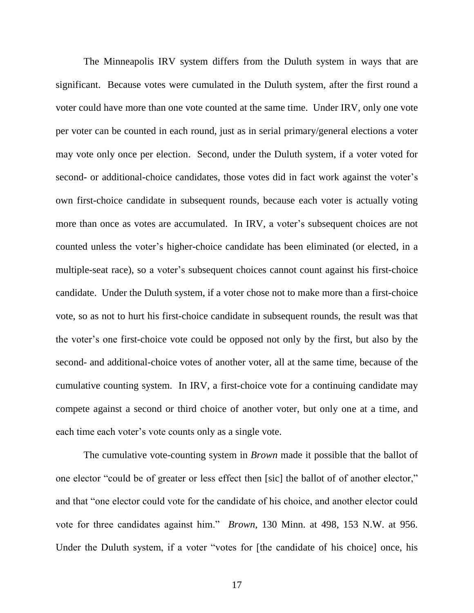The Minneapolis IRV system differs from the Duluth system in ways that are significant. Because votes were cumulated in the Duluth system, after the first round a voter could have more than one vote counted at the same time. Under IRV, only one vote per voter can be counted in each round, just as in serial primary/general elections a voter may vote only once per election. Second, under the Duluth system, if a voter voted for second- or additional-choice candidates, those votes did in fact work against the voter's own first-choice candidate in subsequent rounds, because each voter is actually voting more than once as votes are accumulated. In IRV, a voter's subsequent choices are not counted unless the voter"s higher-choice candidate has been eliminated (or elected, in a multiple-seat race), so a voter's subsequent choices cannot count against his first-choice candidate. Under the Duluth system, if a voter chose not to make more than a first-choice vote, so as not to hurt his first-choice candidate in subsequent rounds, the result was that the voter"s one first-choice vote could be opposed not only by the first, but also by the second- and additional-choice votes of another voter, all at the same time, because of the cumulative counting system. In IRV, a first-choice vote for a continuing candidate may compete against a second or third choice of another voter, but only one at a time, and each time each voter's vote counts only as a single vote.

The cumulative vote-counting system in *Brown* made it possible that the ballot of one elector "could be of greater or less effect then [sic] the ballot of of another elector," and that "one elector could vote for the candidate of his choice, and another elector could vote for three candidates against him." *Brown*, 130 Minn. at 498, 153 N.W. at 956. Under the Duluth system, if a voter "votes for [the candidate of his choice] once, his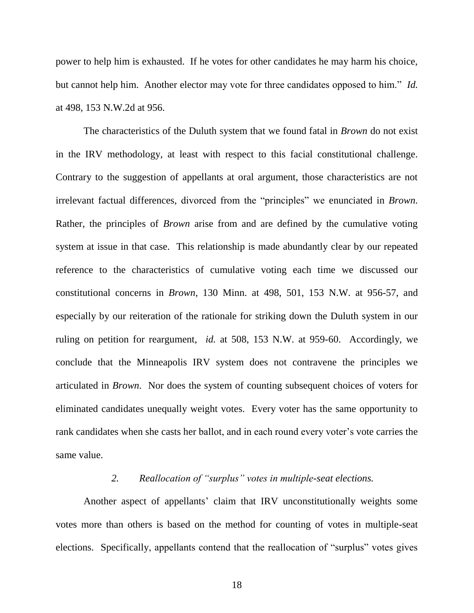power to help him is exhausted. If he votes for other candidates he may harm his choice, but cannot help him. Another elector may vote for three candidates opposed to him." *Id.* at 498, 153 N.W.2d at 956.

The characteristics of the Duluth system that we found fatal in *Brown* do not exist in the IRV methodology, at least with respect to this facial constitutional challenge. Contrary to the suggestion of appellants at oral argument, those characteristics are not irrelevant factual differences, divorced from the "principles" we enunciated in *Brown.*  Rather, the principles of *Brown* arise from and are defined by the cumulative voting system at issue in that case. This relationship is made abundantly clear by our repeated reference to the characteristics of cumulative voting each time we discussed our constitutional concerns in *Brown*, 130 Minn. at 498, 501, 153 N.W. at 956-57, and especially by our reiteration of the rationale for striking down the Duluth system in our ruling on petition for reargument, *id.* at 508, 153 N.W. at 959-60. Accordingly, we conclude that the Minneapolis IRV system does not contravene the principles we articulated in *Brown*. Nor does the system of counting subsequent choices of voters for eliminated candidates unequally weight votes. Every voter has the same opportunity to rank candidates when she casts her ballot, and in each round every voter's vote carries the same value.

## *2. Reallocation of "surplus" votes in multiple-seat elections.*

Another aspect of appellants' claim that IRV unconstitutionally weights some votes more than others is based on the method for counting of votes in multiple-seat elections. Specifically, appellants contend that the reallocation of "surplus" votes gives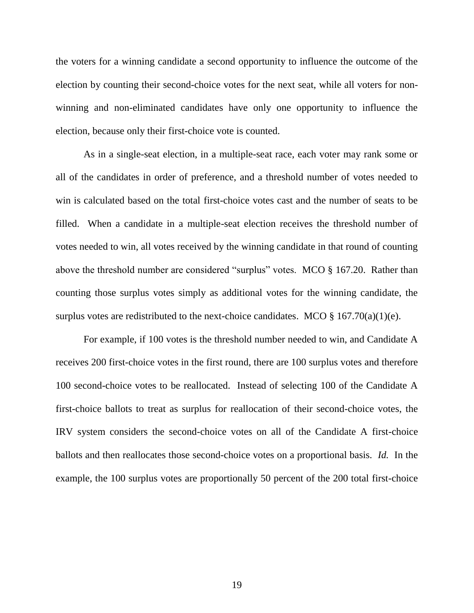the voters for a winning candidate a second opportunity to influence the outcome of the election by counting their second-choice votes for the next seat, while all voters for nonwinning and non-eliminated candidates have only one opportunity to influence the election, because only their first-choice vote is counted.

As in a single-seat election, in a multiple-seat race, each voter may rank some or all of the candidates in order of preference, and a threshold number of votes needed to win is calculated based on the total first-choice votes cast and the number of seats to be filled. When a candidate in a multiple-seat election receives the threshold number of votes needed to win, all votes received by the winning candidate in that round of counting above the threshold number are considered "surplus" votes. MCO § 167.20. Rather than counting those surplus votes simply as additional votes for the winning candidate, the surplus votes are redistributed to the next-choice candidates. MCO  $\S$  167.70(a)(1)(e).

For example, if 100 votes is the threshold number needed to win, and Candidate A receives 200 first-choice votes in the first round, there are 100 surplus votes and therefore 100 second-choice votes to be reallocated. Instead of selecting 100 of the Candidate A first-choice ballots to treat as surplus for reallocation of their second-choice votes, the IRV system considers the second-choice votes on all of the Candidate A first-choice ballots and then reallocates those second-choice votes on a proportional basis. *Id.* In the example, the 100 surplus votes are proportionally 50 percent of the 200 total first-choice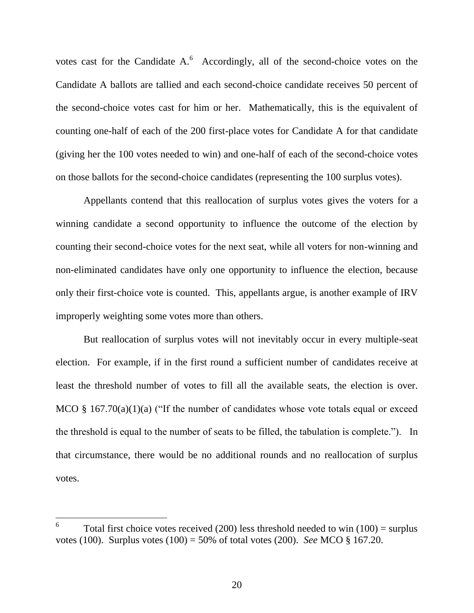votes cast for the Candidate  $A^6$ . Accordingly, all of the second-choice votes on the Candidate A ballots are tallied and each second-choice candidate receives 50 percent of the second-choice votes cast for him or her. Mathematically, this is the equivalent of counting one-half of each of the 200 first-place votes for Candidate A for that candidate (giving her the 100 votes needed to win) and one-half of each of the second-choice votes on those ballots for the second-choice candidates (representing the 100 surplus votes).

Appellants contend that this reallocation of surplus votes gives the voters for a winning candidate a second opportunity to influence the outcome of the election by counting their second-choice votes for the next seat, while all voters for non-winning and non-eliminated candidates have only one opportunity to influence the election, because only their first-choice vote is counted. This, appellants argue, is another example of IRV improperly weighting some votes more than others.

But reallocation of surplus votes will not inevitably occur in every multiple-seat election. For example, if in the first round a sufficient number of candidates receive at least the threshold number of votes to fill all the available seats, the election is over. MCO  $\S$  167.70(a)(1)(a) ("If the number of candidates whose vote totals equal or exceed the threshold is equal to the number of seats to be filled, the tabulation is complete."). In that circumstance, there would be no additional rounds and no reallocation of surplus votes.

<sup>6</sup> Total first choice votes received  $(200)$  less threshold needed to win  $(100)$  = surplus votes (100). Surplus votes (100) = 50% of total votes (200). *See* MCO § 167.20.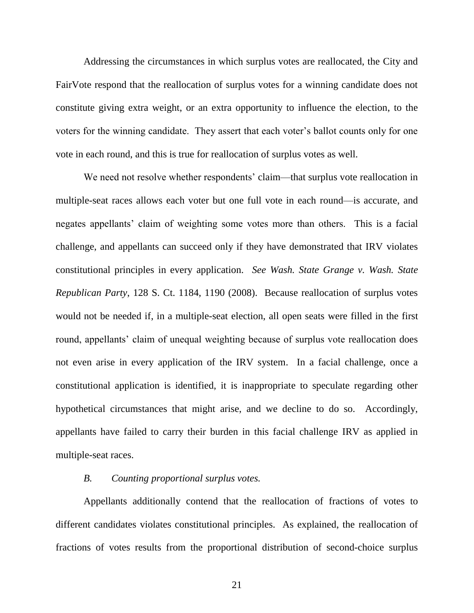Addressing the circumstances in which surplus votes are reallocated, the City and FairVote respond that the reallocation of surplus votes for a winning candidate does not constitute giving extra weight, or an extra opportunity to influence the election, to the voters for the winning candidate. They assert that each voter"s ballot counts only for one vote in each round, and this is true for reallocation of surplus votes as well.

We need not resolve whether respondents' claim—that surplus vote reallocation in multiple-seat races allows each voter but one full vote in each round—is accurate, and negates appellants' claim of weighting some votes more than others. This is a facial challenge, and appellants can succeed only if they have demonstrated that IRV violates constitutional principles in every application. *See Wash. State Grange v. Wash. State Republican Party*, 128 S. Ct. 1184, 1190 (2008). Because reallocation of surplus votes would not be needed if, in a multiple-seat election, all open seats were filled in the first round, appellants' claim of unequal weighting because of surplus vote reallocation does not even arise in every application of the IRV system. In a facial challenge, once a constitutional application is identified, it is inappropriate to speculate regarding other hypothetical circumstances that might arise, and we decline to do so. Accordingly, appellants have failed to carry their burden in this facial challenge IRV as applied in multiple-seat races.

## *B. Counting proportional surplus votes.*

Appellants additionally contend that the reallocation of fractions of votes to different candidates violates constitutional principles. As explained, the reallocation of fractions of votes results from the proportional distribution of second-choice surplus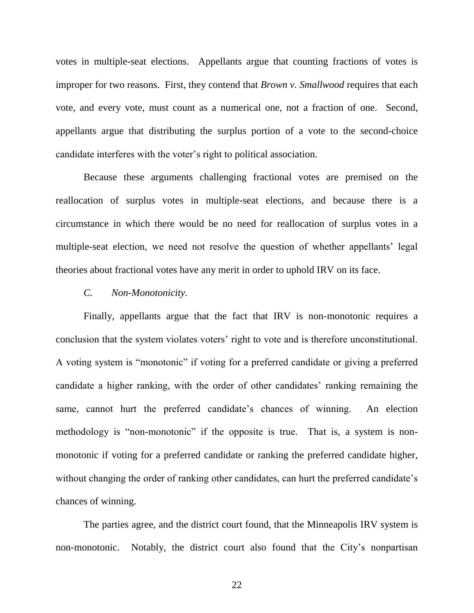votes in multiple-seat elections. Appellants argue that counting fractions of votes is improper for two reasons. First, they contend that *Brown v. Smallwood* requires that each vote, and every vote, must count as a numerical one, not a fraction of one. Second, appellants argue that distributing the surplus portion of a vote to the second-choice candidate interferes with the voter"s right to political association.

Because these arguments challenging fractional votes are premised on the reallocation of surplus votes in multiple-seat elections, and because there is a circumstance in which there would be no need for reallocation of surplus votes in a multiple-seat election, we need not resolve the question of whether appellants' legal theories about fractional votes have any merit in order to uphold IRV on its face.

#### *C. Non-Monotonicity.*

Finally, appellants argue that the fact that IRV is non-monotonic requires a conclusion that the system violates voters" right to vote and is therefore unconstitutional. A voting system is "monotonic" if voting for a preferred candidate or giving a preferred candidate a higher ranking, with the order of other candidates' ranking remaining the same, cannot hurt the preferred candidate's chances of winning. An election methodology is "non-monotonic" if the opposite is true. That is, a system is nonmonotonic if voting for a preferred candidate or ranking the preferred candidate higher, without changing the order of ranking other candidates, can hurt the preferred candidate's chances of winning.

The parties agree, and the district court found, that the Minneapolis IRV system is non-monotonic. Notably, the district court also found that the City's nonpartisan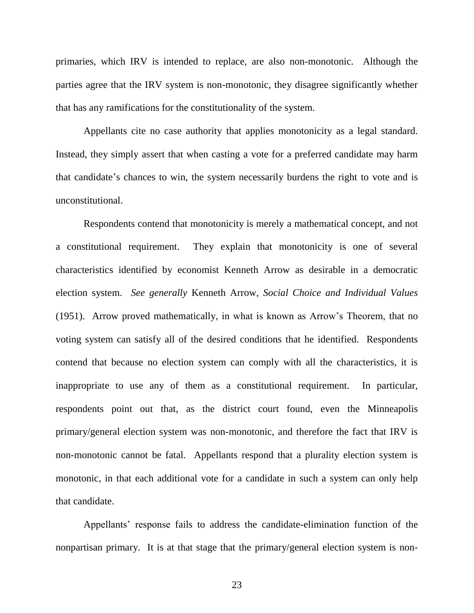primaries, which IRV is intended to replace, are also non-monotonic. Although the parties agree that the IRV system is non-monotonic, they disagree significantly whether that has any ramifications for the constitutionality of the system.

Appellants cite no case authority that applies monotonicity as a legal standard. Instead, they simply assert that when casting a vote for a preferred candidate may harm that candidate"s chances to win, the system necessarily burdens the right to vote and is unconstitutional.

Respondents contend that monotonicity is merely a mathematical concept, and not a constitutional requirement. They explain that monotonicity is one of several characteristics identified by economist Kenneth Arrow as desirable in a democratic election system. *See generally* Kenneth Arrow, *Social Choice and Individual Values* (1951). Arrow proved mathematically, in what is known as Arrow"s Theorem, that no voting system can satisfy all of the desired conditions that he identified. Respondents contend that because no election system can comply with all the characteristics, it is inappropriate to use any of them as a constitutional requirement. In particular, respondents point out that, as the district court found, even the Minneapolis primary/general election system was non-monotonic, and therefore the fact that IRV is non-monotonic cannot be fatal. Appellants respond that a plurality election system is monotonic, in that each additional vote for a candidate in such a system can only help that candidate.

Appellants" response fails to address the candidate-elimination function of the nonpartisan primary. It is at that stage that the primary/general election system is non-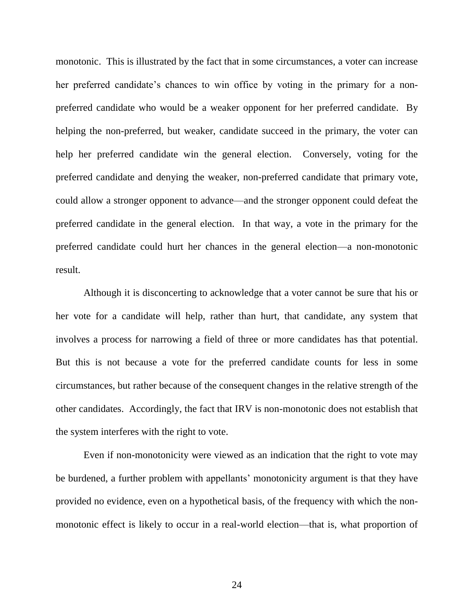monotonic. This is illustrated by the fact that in some circumstances, a voter can increase her preferred candidate's chances to win office by voting in the primary for a nonpreferred candidate who would be a weaker opponent for her preferred candidate. By helping the non-preferred, but weaker, candidate succeed in the primary, the voter can help her preferred candidate win the general election. Conversely, voting for the preferred candidate and denying the weaker, non-preferred candidate that primary vote, could allow a stronger opponent to advance—and the stronger opponent could defeat the preferred candidate in the general election. In that way, a vote in the primary for the preferred candidate could hurt her chances in the general election—a non-monotonic result.

Although it is disconcerting to acknowledge that a voter cannot be sure that his or her vote for a candidate will help, rather than hurt, that candidate, any system that involves a process for narrowing a field of three or more candidates has that potential. But this is not because a vote for the preferred candidate counts for less in some circumstances, but rather because of the consequent changes in the relative strength of the other candidates. Accordingly, the fact that IRV is non-monotonic does not establish that the system interferes with the right to vote.

Even if non-monotonicity were viewed as an indication that the right to vote may be burdened, a further problem with appellants' monotonicity argument is that they have provided no evidence, even on a hypothetical basis, of the frequency with which the nonmonotonic effect is likely to occur in a real-world election—that is, what proportion of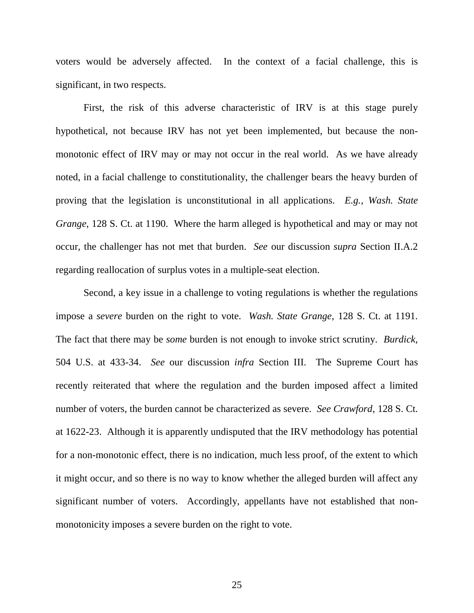voters would be adversely affected. In the context of a facial challenge, this is significant, in two respects.

First, the risk of this adverse characteristic of IRV is at this stage purely hypothetical, not because IRV has not yet been implemented, but because the nonmonotonic effect of IRV may or may not occur in the real world. As we have already noted, in a facial challenge to constitutionality, the challenger bears the heavy burden of proving that the legislation is unconstitutional in all applications. *E.g.*, *Wash. State Grange*, 128 S. Ct. at 1190. Where the harm alleged is hypothetical and may or may not occur, the challenger has not met that burden. *See* our discussion *supra* Section II.A.2 regarding reallocation of surplus votes in a multiple-seat election.

Second, a key issue in a challenge to voting regulations is whether the regulations impose a *severe* burden on the right to vote. *Wash. State Grange*, 128 S. Ct. at 1191. The fact that there may be *some* burden is not enough to invoke strict scrutiny. *Burdick*, 504 U.S. at 433-34. *See* our discussion *infra* Section III. The Supreme Court has recently reiterated that where the regulation and the burden imposed affect a limited number of voters, the burden cannot be characterized as severe. *See Crawford*, 128 S. Ct. at 1622-23. Although it is apparently undisputed that the IRV methodology has potential for a non-monotonic effect, there is no indication, much less proof, of the extent to which it might occur, and so there is no way to know whether the alleged burden will affect any significant number of voters. Accordingly, appellants have not established that nonmonotonicity imposes a severe burden on the right to vote.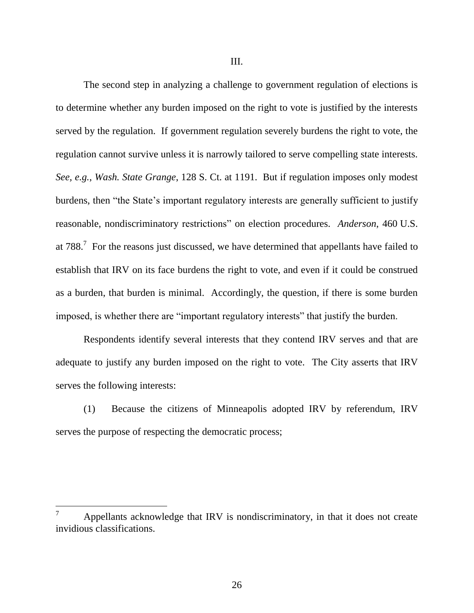The second step in analyzing a challenge to government regulation of elections is to determine whether any burden imposed on the right to vote is justified by the interests served by the regulation. If government regulation severely burdens the right to vote, the regulation cannot survive unless it is narrowly tailored to serve compelling state interests. *See, e.g.*, *Wash. State Grange*, 128 S. Ct. at 1191. But if regulation imposes only modest burdens, then "the State"s important regulatory interests are generally sufficient to justify reasonable, nondiscriminatory restrictions" on election procedures. *Anderson*, 460 U.S. at 788.<sup>7</sup> For the reasons just discussed, we have determined that appellants have failed to establish that IRV on its face burdens the right to vote, and even if it could be construed as a burden, that burden is minimal. Accordingly, the question, if there is some burden imposed, is whether there are "important regulatory interests" that justify the burden.

Respondents identify several interests that they contend IRV serves and that are adequate to justify any burden imposed on the right to vote. The City asserts that IRV serves the following interests:

(1) Because the citizens of Minneapolis adopted IRV by referendum, IRV serves the purpose of respecting the democratic process;

Appellants acknowledge that IRV is nondiscriminatory, in that it does not create invidious classifications.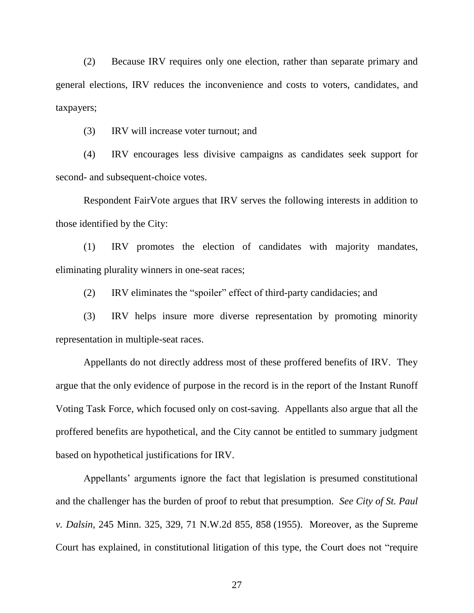(2) Because IRV requires only one election, rather than separate primary and general elections, IRV reduces the inconvenience and costs to voters, candidates, and taxpayers;

(3) IRV will increase voter turnout; and

(4) IRV encourages less divisive campaigns as candidates seek support for second- and subsequent-choice votes.

Respondent FairVote argues that IRV serves the following interests in addition to those identified by the City:

(1) IRV promotes the election of candidates with majority mandates, eliminating plurality winners in one-seat races;

(2) IRV eliminates the "spoiler" effect of third-party candidacies; and

(3) IRV helps insure more diverse representation by promoting minority representation in multiple-seat races.

Appellants do not directly address most of these proffered benefits of IRV. They argue that the only evidence of purpose in the record is in the report of the Instant Runoff Voting Task Force, which focused only on cost-saving. Appellants also argue that all the proffered benefits are hypothetical, and the City cannot be entitled to summary judgment based on hypothetical justifications for IRV.

Appellants" arguments ignore the fact that legislation is presumed constitutional and the challenger has the burden of proof to rebut that presumption. *See City of St. Paul v. Dalsin*, 245 Minn. 325, 329, 71 N.W.2d 855, 858 (1955). Moreover, as the Supreme Court has explained, in constitutional litigation of this type, the Court does not "require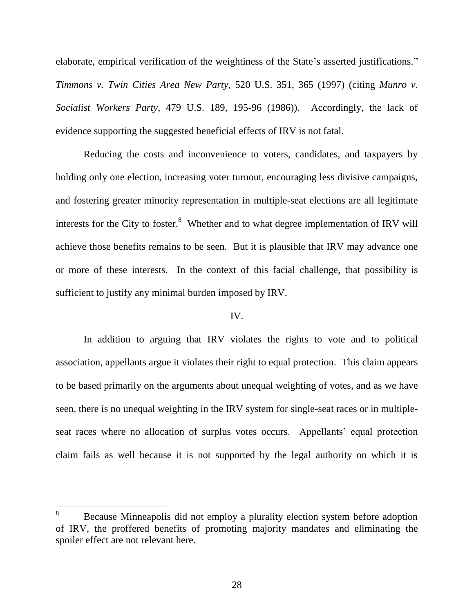elaborate, empirical verification of the weightiness of the State's asserted justifications." *Timmons v. Twin Cities Area New Party*, 520 U.S. 351, 365 (1997) (citing *Munro v. Socialist Workers Party*, 479 U.S. 189, 195-96 (1986)). Accordingly, the lack of evidence supporting the suggested beneficial effects of IRV is not fatal.

Reducing the costs and inconvenience to voters, candidates, and taxpayers by holding only one election, increasing voter turnout, encouraging less divisive campaigns, and fostering greater minority representation in multiple-seat elections are all legitimate interests for the City to foster. $8$  Whether and to what degree implementation of IRV will achieve those benefits remains to be seen. But it is plausible that IRV may advance one or more of these interests. In the context of this facial challenge, that possibility is sufficient to justify any minimal burden imposed by IRV.

## IV.

In addition to arguing that IRV violates the rights to vote and to political association, appellants argue it violates their right to equal protection. This claim appears to be based primarily on the arguments about unequal weighting of votes, and as we have seen, there is no unequal weighting in the IRV system for single-seat races or in multipleseat races where no allocation of surplus votes occurs. Appellants' equal protection claim fails as well because it is not supported by the legal authority on which it is

<sup>&</sup>lt;sup>8</sup> Because Minneapolis did not employ a plurality election system before adoption of IRV, the proffered benefits of promoting majority mandates and eliminating the spoiler effect are not relevant here.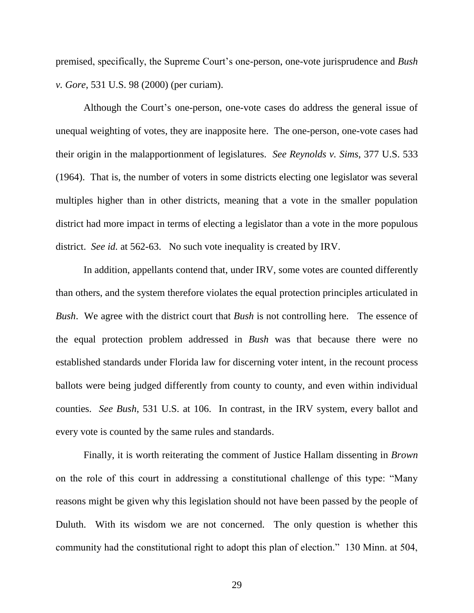premised, specifically, the Supreme Court"s one-person, one-vote jurisprudence and *Bush v. Gore*, 531 U.S. 98 (2000) (per curiam).

Although the Court's one-person, one-vote cases do address the general issue of unequal weighting of votes, they are inapposite here. The one-person, one-vote cases had their origin in the malapportionment of legislatures. *See Reynolds v. Sims*, 377 U.S. 533 (1964). That is, the number of voters in some districts electing one legislator was several multiples higher than in other districts, meaning that a vote in the smaller population district had more impact in terms of electing a legislator than a vote in the more populous district. *See id.* at 562-63. No such vote inequality is created by IRV.

In addition, appellants contend that, under IRV, some votes are counted differently than others, and the system therefore violates the equal protection principles articulated in *Bush*. We agree with the district court that *Bush* is not controlling here. The essence of the equal protection problem addressed in *Bush* was that because there were no established standards under Florida law for discerning voter intent, in the recount process ballots were being judged differently from county to county, and even within individual counties. *See Bush*, 531 U.S. at 106. In contrast, in the IRV system, every ballot and every vote is counted by the same rules and standards.

Finally, it is worth reiterating the comment of Justice Hallam dissenting in *Brown*  on the role of this court in addressing a constitutional challenge of this type: "Many reasons might be given why this legislation should not have been passed by the people of Duluth. With its wisdom we are not concerned. The only question is whether this community had the constitutional right to adopt this plan of election." 130 Minn. at 504,